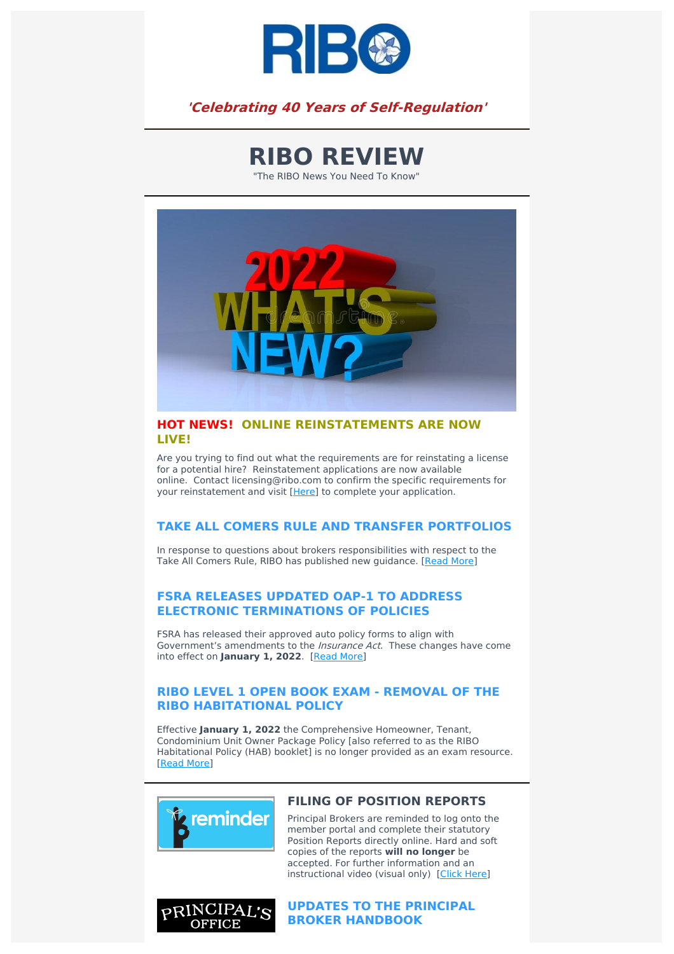

**'Celebrating 40 Years of Self-Regulation'**

**RIBO REVIEW**

"The RIBO News You Need To Know"



#### **HOT NEWS! ONLINE REINSTATEMENTS ARE NOW LIVE!**

Are you trying to find out what the requirements are for reinstating a license for a potential hire? Reinstatement applications are now available online. Contact licensing@ribo.com to confirm the specific requirements for your reinstatement and visit [[Here](https://www.ribo.com/reinstatement/)] to complete your application.

### **TAKE ALL COMERS RULE AND TRANSFER PORTFOLIOS**

In response to questions about brokers responsibilities with respect to the Take All Comers Rule, RIBO has published new guidance. [\[Read](https://www.ribo.com/take-all-rule/) More]

### **FSRA RELEASES UPDATED OAP-1 TO ADDRESS ELECTRONIC TERMINATIONS OF POLICIES**

FSRA has released their approved auto policy forms to align with Government's amendments to the Insurance Act. These changes have come into effect on **January 1, 2022**. [Read [More\]](https://www.ribo.com/fsra-auto-policy-updates/)

### **RIBO LEVEL 1 OPEN BOOK EXAM - REMOVAL OF THE RIBO HABITATIONAL POLICY**

Effective **January 1, 2022** the Comprehensive Homeowner, Tenant, Condominium Unit Owner Package Policy [also referred to as the RIBO Habitational Policy (HAB) booklet] is no longer provided as an exam resource. [[Read](https://www.ribo.com/ribo-exam-habitation/) More]



## **FILING OF POSITION REPORTS**

Principal Brokers are reminded to log onto the member portal and complete their statutory Position Reports directly online. Hard and soft copies of the reports **will no longer** be accepted. For further information and an instructional video (visual only) [Click [Here\]](https://www.ribo.com/position-reports/)



**UPDATES TO THE PRINCIPAL BROKER HANDBOOK**